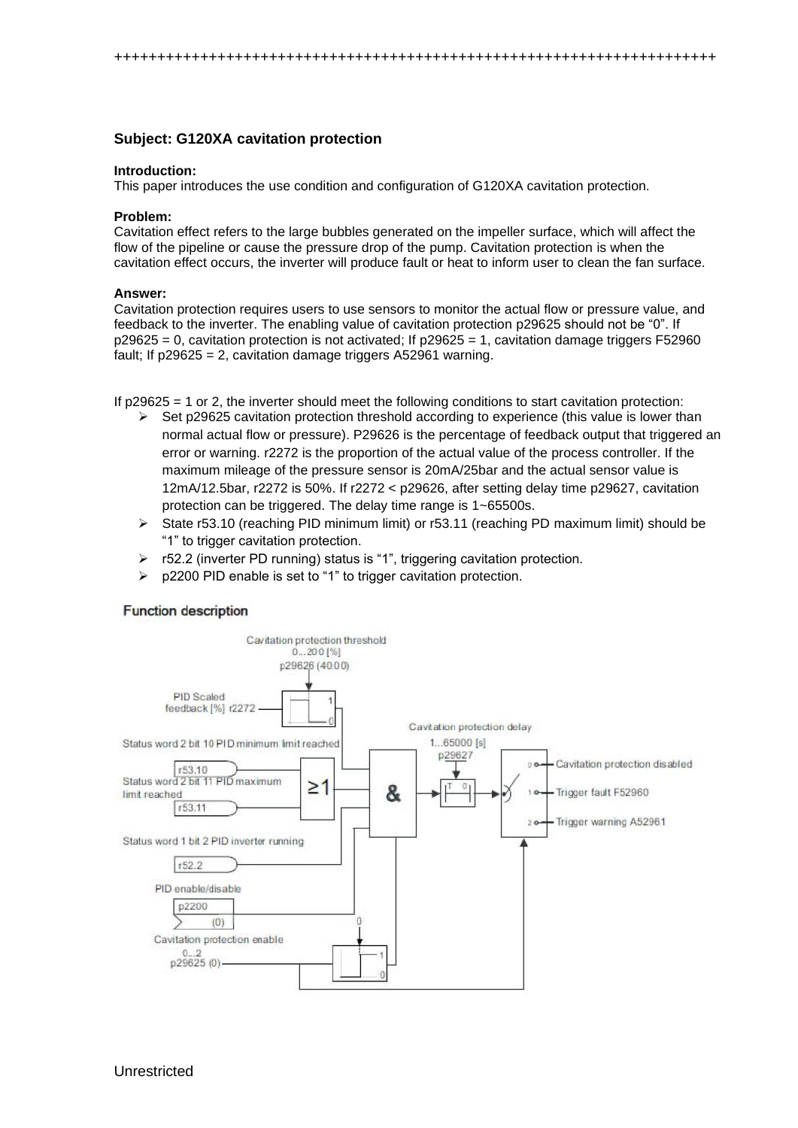++++++++++++++++++++++++++++++++++++++++++++++++++++++++++++++++++++++

# **Subject: G120XA cavitation protection**

#### **Introduction:**

This paper introduces the use condition and configuration of G120XA cavitation protection.

### **Problem:**

Cavitation effect refers to the large bubbles generated on the impeller surface, which will affect the flow of the pipeline or cause the pressure drop of the pump. Cavitation protection is when the cavitation effect occurs, the inverter will produce fault or heat to inform user to clean the fan surface.

### **Answer:**

Cavitation protection requires users to use sensors to monitor the actual flow or pressure value, and feedback to the inverter. The enabling value of cavitation protection p29625 should not be "0". If  $p29625 = 0$ , cavitation protection is not activated; If  $p29625 = 1$ , cavitation damage triggers F52960 fault; If p29625 = 2, cavitation damage triggers A52961 warning.

If p29625 = 1 or 2, the inverter should meet the following conditions to start cavitation protection:

- $\triangleright$  Set p29625 cavitation protection threshold according to experience (this value is lower than normal actual flow or pressure). P29626 is the percentage of feedback output that triggered an error or warning. r2272 is the proportion of the actual value of the process controller. If the maximum mileage of the pressure sensor is 20mA/25bar and the actual sensor value is 12mA/12.5bar, r2272 is 50%. If r2272 < p29626, after setting delay time p29627, cavitation protection can be triggered. The delay time range is 1~65500s.
- ➢ State r53.10 (reaching PID minimum limit) or r53.11 (reaching PD maximum limit) should be "1" to trigger cavitation protection.
- ➢ r52.2 (inverter PD running) status is "1", triggering cavitation protection.
- ➢ p2200 PID enable is set to "1" to trigger cavitation protection.

## **Function description**